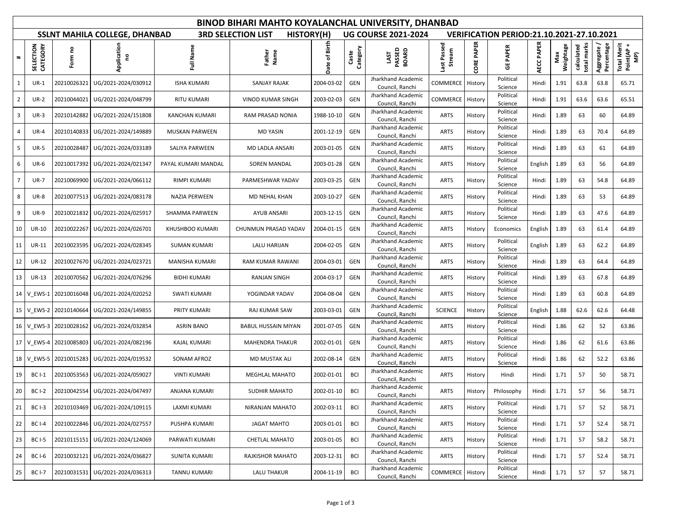| <b>BINOD BIHARI MAHTO KOYALANCHAL UNIVERSITY, DHANBAD</b> |                           |                     |                                      |                        |                                                                         |               |                   |                                       |                       |                   |                      |                   |                  |                           |                           |                                  |  |
|-----------------------------------------------------------|---------------------------|---------------------|--------------------------------------|------------------------|-------------------------------------------------------------------------|---------------|-------------------|---------------------------------------|-----------------------|-------------------|----------------------|-------------------|------------------|---------------------------|---------------------------|----------------------------------|--|
|                                                           |                           |                     | <b>SSLNT MAHILA COLLEGE, DHANBAD</b> |                        | <b>UG COURSE 2021-2024</b><br>VERIFICATION PERIOD:21.10.2021-27.10.2021 |               |                   |                                       |                       |                   |                      |                   |                  |                           |                           |                                  |  |
| $\ddot{\phantom{1}}$                                      | CTION<br>CATEGORY<br>SELE | ဥ<br>Form           | Application<br>g                     | Full Name              | Father<br>Name                                                          | Date of Birth | Category<br>Caste | LAST<br>PASSED<br>BOARD               | Last Passed<br>Stream | <b>CORE PAPER</b> | <b>GE PAPER</b>      | <b>AECC PAPER</b> | Weightage<br>Max | total marks<br>calculated | Aggregate /<br>Percentage | Total Merit<br>Point(AP +<br>MP) |  |
| 1                                                         | $UR-1$                    | 20210026321         | UG/2021-2024/030912                  | <b>ISHA KUMARI</b>     | <b>SANJAY RAJAK</b>                                                     | 2004-03-02    | GEN               | Jharkhand Academic<br>Council, Ranchi | COMMERCE              | History           | Political<br>Science | Hindi             | 1.91             | 63.8                      | 63.8                      | 65.71                            |  |
| $\overline{2}$                                            | $UR-2$                    | 20210044021         | UG/2021-2024/048799                  | <b>RITU KUMARI</b>     | <b>VINOD KUMAR SINGH</b>                                                | 2003-02-03    | GEN               | Jharkhand Academic<br>Council, Ranchi | COMMERCE              | History           | Political<br>Science | Hindi             | 1.91             | 63.6                      | 63.6                      | 65.51                            |  |
| 3                                                         | $UR-3$                    | 20210142882         | UG/2021-2024/151808                  | KANCHAN KUMARI         | RAM PRASAD NONIA                                                        | 1988-10-10    | GEN               | Jharkhand Academic<br>Council, Ranchi | <b>ARTS</b>           | History           | Political<br>Science | Hindi             | 1.89             | 63                        | 60                        | 64.89                            |  |
| 4                                                         | $UR-4$                    | 20210140833         | UG/2021-2024/149889                  | <b>MUSKAN PARWEEN</b>  | <b>MD YASIN</b>                                                         | 2001-12-19    | GEN               | Jharkhand Academic<br>Council, Ranchi | <b>ARTS</b>           | History           | Political<br>Science | Hindi             | 1.89             | 63                        | 70.4                      | 64.89                            |  |
| 5                                                         | <b>UR-5</b>               | 20210028487         | UG/2021-2024/033189                  | SALIYA PARWEEN         | MD LADLA ANSARI                                                         | 2003-01-05    | GEN               | Jharkhand Academic<br>Council, Ranchi | <b>ARTS</b>           | History           | Political<br>Science | Hindi             | 1.89             | 63                        | 61                        | 64.89                            |  |
| 6                                                         | <b>UR-6</b>               | 20210017392         | UG/2021-2024/021347                  | PAYAL KUMARI MANDAL    | SOREN MANDAL                                                            | 2003-01-28    | GEN               | Jharkhand Academic<br>Council, Ranchi | <b>ARTS</b>           | History           | Political<br>Science | English           | 1.89             | 63                        | 56                        | 64.89                            |  |
| 7                                                         | <b>UR-7</b>               | 20210069900         | UG/2021-2024/066112                  | RIMPI KUMARI           | PARMESHWAR YADAV                                                        | 2003-03-25    | GEN               | Jharkhand Academic<br>Council, Ranchi | <b>ARTS</b>           | History           | Political<br>Science | Hindi             | 1.89             | 63                        | 54.8                      | 64.89                            |  |
| 8                                                         | <b>UR-8</b>               | 20210077513         | UG/2021-2024/083178                  | NAZIA PERWEEN          | MD NEHAL KHAN                                                           | 2003-10-27    | GEN               | Jharkhand Academic<br>Council, Ranchi | <b>ARTS</b>           | History           | Political<br>Science | Hindi             | 1.89             | 63                        | 53                        | 64.89                            |  |
| 9                                                         | <b>UR-9</b>               | 20210021832         | UG/2021-2024/025917                  | SHAMMA PARWEEN         | AYUB ANSARI                                                             | 2003-12-15    | GEN               | Jharkhand Academic<br>Council, Ranchi | <b>ARTS</b>           | History           | Political<br>Science | Hindi             | 1.89             | 63                        | 47.6                      | 64.89                            |  |
| 10                                                        | <b>UR-10</b>              | 20210022267         | UG/2021-2024/026701                  | <b>KHUSHBOO KUMARI</b> | CHUNMUN PRASAD YADAV                                                    | 2004-01-15    | GEN               | Jharkhand Academic<br>Council, Ranchi | <b>ARTS</b>           | History           | Economics            | English           | 1.89             | 63                        | 61.4                      | 64.89                            |  |
| 11                                                        | <b>UR-11</b>              | 20210023595         | UG/2021-2024/028345                  | <b>SUMAN KUMARI</b>    | <b>LALU HARIJAN</b>                                                     | 2004-02-05    | GEN               | Jharkhand Academic<br>Council, Ranchi | <b>ARTS</b>           | History           | Political<br>Science | English           | 1.89             | 63                        | 62.2                      | 64.89                            |  |
| 12                                                        | <b>UR-12</b>              | 20210027670         | UG/2021-2024/023721                  | <b>MANISHA KUMARI</b>  | RAM KUMAR RAWANI                                                        | 2004-03-01    | GEN               | Jharkhand Academic<br>Council, Ranchi | <b>ARTS</b>           | History           | Political<br>Science | Hindi             | 1.89             | 63                        | 64.4                      | 64.89                            |  |
| 13                                                        | UR-13                     |                     | 20210070562   UG/2021-2024/076296    | <b>BIDHI KUMARI</b>    | <b>RANJAN SINGH</b>                                                     | 2004-03-17    | GEN               | Jharkhand Academic<br>Council, Ranchi | <b>ARTS</b>           | History           | Political<br>Science | Hindi             | 1.89             | 63                        | 67.8                      | 64.89                            |  |
| 14                                                        | V EWS-1                   | 20210016048         | UG/2021-2024/020252                  | <b>SWATI KUMARI</b>    | YOGINDAR YADAV                                                          | 2004-08-04    | GEN               | Jharkhand Academic<br>Council, Ranchi | <b>ARTS</b>           | History           | Political<br>Science | Hindi             | 1.89             | 63                        | 60.8                      | 64.89                            |  |
| 15                                                        |                           | V EWS-2 20210140664 | UG/2021-2024/149855                  | <b>PRITY KUMARI</b>    | RAJ KUMAR SAW                                                           | 2003-03-01    | GEN               | Jharkhand Academic<br>Council, Ranchi | <b>SCIENCE</b>        | History           | Political<br>Science | English           | 1.88             | 62.6                      | 62.6                      | 64.48                            |  |
| 16                                                        | V EWS-3                   | 20210028162         | UG/2021-2024/032854                  | <b>ASRIN BANO</b>      | <b>BABUL HUSSAIN MIYAN</b>                                              | 2001-07-05    | GEN               | Jharkhand Academic<br>Council, Ranchi | <b>ARTS</b>           | History           | Political<br>Science | Hindi             | 1.86             | 62                        | 52                        | 63.86                            |  |
| 17                                                        | V EWS-4                   | 20210085803         | UG/2021-2024/082196                  | KAJAL KUMARI           | MAHENDRA THAKUR                                                         | 2002-01-01    | GEN               | Jharkhand Academic<br>Council, Ranchi | <b>ARTS</b>           | History           | Political<br>Science | Hindi             | 1.86             | 62                        | 61.6                      | 63.86                            |  |
| 18                                                        | V EWS-5                   | 20210015283         | UG/2021-2024/019532                  | <b>SONAM AFROZ</b>     | <b>MD MUSTAK ALI</b>                                                    | 2002-08-14    | GEN               | Jharkhand Academic<br>Council, Ranchi | <b>ARTS</b>           | History           | Political<br>Science | Hindi             | 1.86             | 62                        | 52.2                      | 63.86                            |  |
| 19                                                        | <b>BC I-1</b>             | 20210053563         | UG/2021-2024/059027                  | <b>VINTI KUMARI</b>    | <b>MEGHLAL MAHATO</b>                                                   | 2002-01-01    | <b>BCI</b>        | Jharkhand Academic<br>Council, Ranchi | <b>ARTS</b>           | History           | Hindi                | Hindi             | 1.71             | 57                        | 50                        | 58.71                            |  |
| 20                                                        | <b>BC I-2</b>             |                     | 20210042554 UG/2021-2024/047497      | ANJANA KUMARI          | <b>SUDHIR MAHATO</b>                                                    | 2002-01-10    | <b>BCI</b>        | Jharkhand Academic<br>Council, Ranchi | <b>ARTS</b>           | History           | Philosophy           | Hindi             | 1.71             | -57                       | 56                        | 58.71                            |  |
| 21                                                        | <b>BC I-3</b>             |                     | 20210103469 UG/2021-2024/109115      | LAXMI KUMARI           | NIRANJAN MAHATO                                                         | 2002-03-11    | <b>BCI</b>        | Jharkhand Academic<br>Council, Ranchi | <b>ARTS</b>           | History           | Political<br>Science | Hindi             | 1.71             | 57                        | 52                        | 58.71                            |  |
| 22                                                        | <b>BC I-4</b>             |                     | 20210022846 UG/2021-2024/027557      | PUSHPA KUMARI          | <b>JAGAT MAHTO</b>                                                      | 2003-01-01    | <b>BCI</b>        | Jharkhand Academic<br>Council, Ranchi | <b>ARTS</b>           | History           | Political<br>Science | Hindi             | 1.71             | 57                        | 52.4                      | 58.71                            |  |
| 23                                                        | <b>BC I-5</b>             |                     | 20210115151 UG/2021-2024/124069      | PARWATI KUMARI         | <b>CHETLAL MAHATO</b>                                                   | 2003-01-05    | <b>BCI</b>        | Jharkhand Academic<br>Council, Ranchi | <b>ARTS</b>           | History           | Political<br>Science | Hindi             | 1.71             | 57                        | 58.2                      | 58.71                            |  |
| 24                                                        | <b>BC I-6</b>             | 20210032121         | UG/2021-2024/036827                  | SUNITA KUMARI          | RAJKISHOR MAHATO                                                        | 2003-12-31    | <b>BCI</b>        | Jharkhand Academic<br>Council, Ranchi | ARTS                  | History           | Political<br>Science | Hindi             | 1.71             | 57                        | 52.4                      | 58.71                            |  |
| 25                                                        | <b>BC I-7</b>             |                     | 20210031531 UG/2021-2024/036313      | <b>TANNU KUMARI</b>    | <b>LALU THAKUR</b>                                                      | 2004-11-19    | <b>BCI</b>        | Jharkhand Academic<br>Council, Ranchi | COMMERCE              | History           | Political<br>Science | Hindi             | 1.71             | 57                        | 57                        | 58.71                            |  |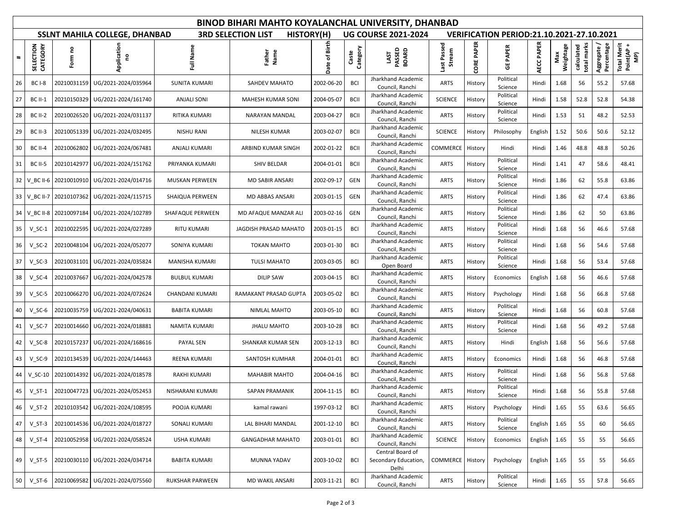| BINOD BIHARI MAHTO KOYALANCHAL UNIVERSITY, DHANBAD |                                  |             |                                      |                      |                              |                            |                                                  |                                                   |                       |            |                      |            |                  |                           |                          |                                  |
|----------------------------------------------------|----------------------------------|-------------|--------------------------------------|----------------------|------------------------------|----------------------------|--------------------------------------------------|---------------------------------------------------|-----------------------|------------|----------------------|------------|------------------|---------------------------|--------------------------|----------------------------------|
|                                                    |                                  |             | <b>SSLNT MAHILA COLLEGE, DHANBAD</b> | HISTORY(H)           |                              | <b>UG COURSE 2021-2024</b> | <b>VERIFICATION PERIOD:21.10.2021-27.10.2021</b> |                                                   |                       |            |                      |            |                  |                           |                          |                                  |
| $\ddot{}$                                          | CTION<br>CATEGORY<br><b>SELE</b> | 5<br>Form   | Application<br>ဥ                     | Full Name            | Father<br>Name               | Date of Birth              | Category<br>Caste                                | LAST<br>PASSED<br>BOARD                           | Last Passed<br>Stream | CORE PAPER | <b>GE PAPER</b>      | AECC PAPER | Weightage<br>Max | total marks<br>calculated | Aggregate/<br>Percentage | Total Merit<br>Point(AP +<br>MP) |
| 26                                                 | <b>BC I-8</b>                    | 20210031159 | UG/2021-2024/035964                  | <b>SUNITA KUMARI</b> | SAHDEV MAHATO                | 2002-06-20                 | <b>BCI</b>                                       | Jharkhand Academic<br>Council, Ranchi             | <b>ARTS</b>           | History    | Political<br>Science | Hindi      | 1.68             | 56                        | 55.2                     | 57.68                            |
| 27                                                 | <b>BC II-1</b>                   | 20210150329 | UG/2021-2024/161740                  | <b>ANJALI SONI</b>   | <b>MAHESH KUMAR SONI</b>     | 2004-05-07                 | <b>BCII</b>                                      | Jharkhand Academic<br>Council, Ranchi             | <b>SCIENCE</b>        | History    | Political<br>Science | Hindi      | 1.58             | 52.8                      | 52.8                     | 54.38                            |
| 28                                                 | <b>BC II-2</b>                   | 20210026520 | UG/2021-2024/031137                  | RITIKA KUMARI        | NARAYAN MANDAL               | 2003-04-27                 | <b>BCII</b>                                      | Jharkhand Academic<br>Council, Ranchi             | <b>ARTS</b>           | History    | Political<br>Science | Hindi      | 1.53             | 51                        | 48.2                     | 52.53                            |
| 29                                                 | <b>BC II-3</b>                   | 20210051339 | UG/2021-2024/032495                  | <b>NISHU RANI</b>    | NILESH KUMAR                 | 2003-02-07                 | <b>BCII</b>                                      | Jharkhand Academic<br>Council, Ranchi             | <b>SCIENCE</b>        | History    | Philosophy           | English    | 1.52             | 50.6                      | 50.6                     | 52.12                            |
| 30                                                 | <b>BC II-4</b>                   | 20210062802 | UG/2021-2024/067481                  | ANJALI KUMARI        | ARBIND KUMAR SINGH           | 2002-01-22                 | <b>BCII</b>                                      | Jharkhand Academic<br>Council, Ranchi             | COMMERCE              | History    | Hindi                | Hindi      | 1.46             | 48.8                      | 48.8                     | 50.26                            |
| 31                                                 | <b>BC II-5</b>                   | 20210142977 | UG/2021-2024/151762                  | PRIYANKA KUMARI      | SHIV BELDAR                  | 2004-01-01                 | <b>BCII</b>                                      | Jharkhand Academic<br>Council, Ranchi             | <b>ARTS</b>           | History    | Political<br>Science | Hindi      | 1.41             | 47                        | 58.6                     | 48.41                            |
| 32                                                 | $V$ BC II-6                      | 20210010910 | UG/2021-2024/014716                  | MUSKAN PERWEEN       | MD SABIR ANSARI              | 2002-09-17                 | GEN                                              | Jharkhand Academic<br>Council, Ranchi             | <b>ARTS</b>           | History    | Political<br>Science | Hindi      | 1.86             | 62                        | 55.8                     | 63.86                            |
| 33                                                 | V BC II-7                        | 20210107362 | UG/2021-2024/115715                  | SHAIQUA PERWEEN      | MD ABBAS ANSARI              | 2003-01-15                 | GEN                                              | Jharkhand Academic<br>Council, Ranchi             | <b>ARTS</b>           | History    | Political<br>Science | Hindi      | 1.86             | 62                        | 47.4                     | 63.86                            |
| 34                                                 | V_BC II-8                        | 20210097184 | UG/2021-2024/102789                  | SHAFAQUE PERWEEN     | MD AFAQUE MANZAR ALI         | 2003-02-16                 | GEN                                              | Jharkhand Academic<br>Council, Ranchi             | <b>ARTS</b>           | History    | Political<br>Science | Hindi      | 1.86             | 62                        | 50                       | 63.86                            |
| 35                                                 | $V_S$ C-1                        | 20210022595 | UG/2021-2024/027289                  | <b>RITU KUMARI</b>   | <b>JAGDISH PRASAD MAHATO</b> | 2003-01-15                 | <b>BCI</b>                                       | Jharkhand Academic<br>Council, Ranchi             | <b>ARTS</b>           | History    | Political<br>Science | Hindi      | 1.68             | 56                        | 46.6                     | 57.68                            |
| 36                                                 | $V_SC-2$                         | 20210048104 | UG/2021-2024/052077                  | SONIYA KUMARI        | <b>TOKAN MAHTO</b>           | 2003-01-30                 | <b>BCI</b>                                       | Jharkhand Academic<br>Council, Ranchi             | ARTS                  | History    | Political<br>Science | Hindi      | 1.68             | 56                        | 54.6                     | 57.68                            |
| 37                                                 | $V_SC-3$                         | 20210031101 | UG/2021-2024/035824                  | MANISHA KUMARI       | <b>TULSI MAHATO</b>          | 2003-03-05                 | <b>BCI</b>                                       | Jharkhand Academic<br>Open Board                  | <b>ARTS</b>           | History    | Political<br>Science | Hindi      | 1.68             | 56                        | 53.4                     | 57.68                            |
| 38                                                 | $V_S$ C-4                        | 20210037667 | UG/2021-2024/042578                  | <b>BULBUL KUMARI</b> | <b>DILIP SAW</b>             | 2003-04-15                 | <b>BCI</b>                                       | Jharkhand Academic<br>Council, Ranchi             | ARTS                  | History    | Economics            | English    | 1.68             | 56                        | 46.6                     | 57.68                            |
| 39                                                 | $V_SC-5$                         | 20210066270 | UG/2021-2024/072624                  | CHANDANI KUMARI      | RAMAKANT PRASAD GUPTA        | 2003-05-02                 | <b>BCI</b>                                       | Jharkhand Academic<br>Council, Ranchi             | ARTS                  | History    | Psychology           | Hindi      | 1.68             | 56                        | 66.8                     | 57.68                            |
| 40                                                 | $V_SC-6$                         | 20210035759 | UG/2021-2024/040631                  | <b>BABITA KUMARI</b> | NIMLAL MAHTO                 | 2003-05-10                 | <b>BCI</b>                                       | Jharkhand Academic<br>Council, Ranchi             | <b>ARTS</b>           | History    | Political<br>Science | Hindi      | 1.68             | 56                        | 60.8                     | 57.68                            |
| 41                                                 | $V_SC-7$                         | 20210014660 | UG/2021-2024/018881                  | NAMITA KUMARI        | <b>JHALU MAHTO</b>           | 2003-10-28                 | <b>BCI</b>                                       | Jharkhand Academic<br>Council, Ranchi             | <b>ARTS</b>           | History    | Political<br>Science | Hindi      | 1.68             | 56                        | 49.2                     | 57.68                            |
| 42                                                 | $V_SC-8$                         | 20210157237 | UG/2021-2024/168616                  | PAYAL SEN            | SHANKAR KUMAR SEN            | 2003-12-13                 | <b>BCI</b>                                       | Jharkhand Academic<br>Council, Ranchi             | <b>ARTS</b>           | History    | Hindi                | English    | 1.68             | 56                        | 56.6                     | 57.68                            |
| 43                                                 | $V_SC-9$                         | 20210134539 | UG/2021-2024/144463                  | REENA KUMARI         | SANTOSH KUMHAR               | 2004-01-01                 | <b>BCI</b>                                       | Jharkhand Academic<br>Council, Ranchi             | ARTS                  | History    | Economics            | Hindi      | 1.68             | 56                        | 46.8                     | 57.68                            |
| 44                                                 | $V_S$ C-10                       | 20210014392 | UG/2021-2024/018578                  | <b>RAKHI KUMARI</b>  | <b>MAHABIR MAHTO</b>         | 2004-04-16                 | <b>BCI</b>                                       | Jharkhand Academic<br>Council, Ranchi             | ARTS                  | History    | Political<br>Science | Hindi      | 1.68             | 56                        | 56.8                     | 57.68                            |
| 45                                                 | $V ST-1$                         |             | 20210047723 UG/2021-2024/052453      | NISHARANI KUMARI     | SAPAN PRAMANIK               | 2004-11-15                 | <b>BCI</b>                                       | Jharkhand Academic<br>Council, Ranchi             | ARTS                  | History    | Political<br>Science | Hindi      | 1.68             | 56                        | 55.8                     | 57.68                            |
| 46                                                 | $V_S$ T-2                        |             | 20210103542 UG/2021-2024/108595      | POOJA KUMARI         | kamal rawani                 | 1997-03-12                 | <b>BCI</b>                                       | Jharkhand Academic<br>Council, Ranchi             | <b>ARTS</b>           | History    | Psychology           | Hindi      | 1.65             | 55                        | 63.6                     | 56.65                            |
| 47                                                 | $V_S$ T-3                        | 20210014536 | UG/2021-2024/018727                  | SONALI KUMARI        | LAL BIHARI MANDAL            | 2001-12-10                 | <b>BCI</b>                                       | Jharkhand Academic<br>Council, Ranchi             | ARTS                  | History    | Political<br>Science | English    | 1.65             | 55                        | 60                       | 56.65                            |
| 48                                                 | $V_S$ T-4                        | 20210052958 | UG/2021-2024/058524                  | <b>USHA KUMARI</b>   | <b>GANGADHAR MAHATO</b>      | 2003-01-01                 | <b>BCI</b>                                       | Jharkhand Academic<br>Council, Ranchi             | <b>SCIENCE</b>        | History    | Economics            | English    | 1.65             | 55                        | 55                       | 56.65                            |
| 49                                                 | $V_S$ T-5                        |             | 20210030110 UG/2021-2024/034714      | <b>BABITA KUMARI</b> | MUNNA YADAV                  | 2003-10-02                 | <b>BCI</b>                                       | Central Board of<br>Secondary Education,<br>Delhi | COMMERCE              | History    | Psychology           | English    | 1.65             | 55                        | 55                       | 56.65                            |
| 50                                                 | $V_S$ T-6                        | 20210069582 | UG/2021-2024/075560                  | RUKSHAR PARWEEN      | MD WAKIL ANSARI              | 2003-11-21                 | <b>BCI</b>                                       | Jharkhand Academic<br>Council, Ranchi             | ARTS                  | History    | Political<br>Science | Hindi      | 1.65             | 55                        | 57.8                     | 56.65                            |